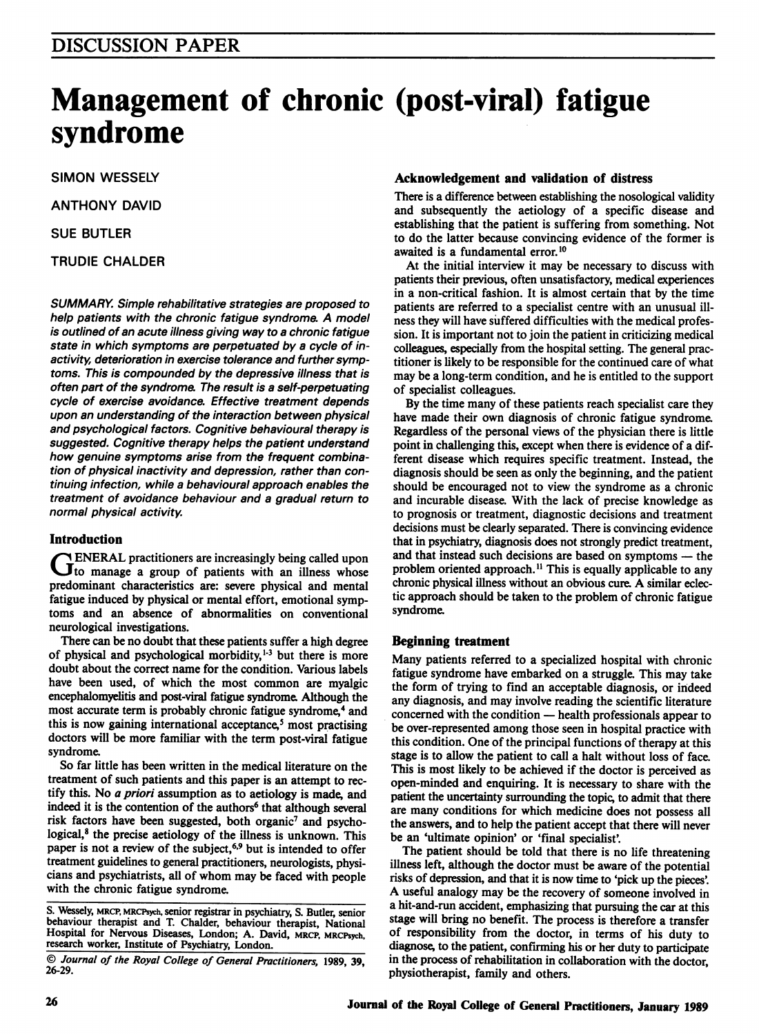# Management of chronic (post-viral) fatigue syndrome

SIMON WESSELY

ANTHONY DAVID

SUE BUTLER

TRUDIE CHALDER

SUMMARY. Simple rehabilitative strategies are proposed to help patients with the chronic fatigue syndrome. A model is outlined of an acute illness giving way to a chronic fatigue state in which symptoms are perpetuated by a cycle of inactivity, deterioration in exercise tolerance and further symptoms. This is compounded by the depressive illness that is often part of the syndrome The result is a self-perpetuating cycle of exercise avoidance. Effective treatment depends upon an understanding of the interaction between physical and psychological factors. Cognitive behavioural therapy is suggested. Cognitive therapy helps the patient understand how genuine symptoms arise from the frequent combination of physical inactivity and depression, rather than continuing infection, while a behavioural approach enables the treatment of avoidance behaviour and a gradual return to normal physical activity.

#### Introduction

**ENERAL practitioners are increasingly being called upon** Jto manage a group of patients with an illness whose predominant characteristics are: severe physical and mental fatigue induced by physical or mental effort, emotional symptoms and an absence of abnormalities on conventional neurological investigations.

There can be no doubt that these patients suffer a high degree of physical and psychological morbidity, $1-3$  but there is more doubt about the correct name for the condition. Various labels have been used, of which the most common are myalgic encephalomyelitis and post-viral fatigue syndrome Although the most accurate term is probably chronic fatigue syndrome,<sup>4</sup> and this is now gaining international acceptance,<sup>5</sup> most practising doctors will be more familiar with the term post-viral fatigue syndrome.

So far little has been written in the medical literature on the treatment of such patients and this paper is an attempt to rectify this. No a priori assumption as to aetiology is made, and indeed it is the contention of the authors<sup>6</sup> that although several risk factors have been suggested, both organic<sup>7</sup> and psychological,<sup>8</sup> the precise aetiology of the illness is unknown. This paper is not a review of the subject,<sup>6,9</sup> but is intended to offer treatment guidelines to general practitioners, neurologists, physicians and psychiatrists, all of whom may be faced with people with the chronic fatigue syndrome.

#### Acknowledgement and validation of distress

There is a difference between establishing the nosological validity and subsequently the aetiology of a specific disease and establishing that the patient is suffering from something. Not to do the latter because convincing evidence of the former is awaited is a fundamental error.<sup>10</sup>

At the initial interview it may be necessary to discuss with patients their previous, often unsatisfactory, medical experiences in a non-critical fashion. It is almost certain that by the time patients are referred to a specialist centre with an unusual illness they will have suffered difficulties with the medical profession. It is important not to join the patient in criticizing medical colleagues, especially from the hospital setting. The general practitioner is likely to be responsible for the continued care of what may be a long-term condition, and he is entitled to the support of specialist colleagues.

By the time many of these patients reach specialist care they have made their own diagnosis of chronic fatigue syndrome. Regardless of the personal views of the physician there is little point in challenging this, except when there is evidence of a different disease which requires specific treatment. Instead, the diagnosis should be seen as only the beginning, and the patient should be encouraged not to view the syndrome as a chronic and incurable disease. With the lack of precise knowledge as to prognosis or treatment, diagnostic decisions and treatment decisions must be clearly separated. There is convincing evidence that in psychiatry, diagnosis does not strongly predict treatment, and that instead such decisions are based on symptoms - the problem oriented approach.<sup>11</sup> This is equally applicable to any chronic physical illness without an obvious cure A similar eclectic approach should be taken to the problem of chronic fatigue syndrome.

#### Beginning treatment

Many patients referred to a specialized hospital with chronic fatigue syndrome have embarked on a struggle. This may take the form of trying to find an acceptable diagnosis, or indeed any diagnosis, and may involve reading the scientific literature concerned with the condition — health professionals appear to be over-represented among those seen in hospital practice with this condition. One of the principal functions of therapy at this stage is to allow the patient to call a halt without loss of face. This is most likely to be achieved if the doctor is perceived as open-minded and enquiring. It is necessary to share with the patient the uncertainty surrounding the topic, to admit that there are many conditions for which medicine does not possess all the answers, and to help the patient accept that there will never be an 'ultimate opinion' or 'final specialist'

The patient should be told that there is no life threatening illness left, although the doctor must be aware of the potential risks of depression, and that it is now time to 'pick up the pieces'. A useful analogy may be the recovery of someone involved in a hit-and-run accident, emphasizing that pursuing the car at this stage will bring no benefit. The process is therefore a transfer of responsibility from the doctor, in terms of his duty to diagnose, to the patient, confirming his or her duty to participate in the process of rehabilitation in collaboration with the doctor, physiotherapist, family and others.

S. Wessely, MRCP, MRCPsych, senior registrar in psychiatry, S. Butler, senior behaviour therapist and T. Chalder, behaviour therapist, National Hospital for Nervous Diseases, London; A. David, MRCP, MRCPsych, research worker, Institute of Psychiatry, London.

<sup>©</sup> Journal of the Royal College of General Practitioners, 1989, 39, 26-29.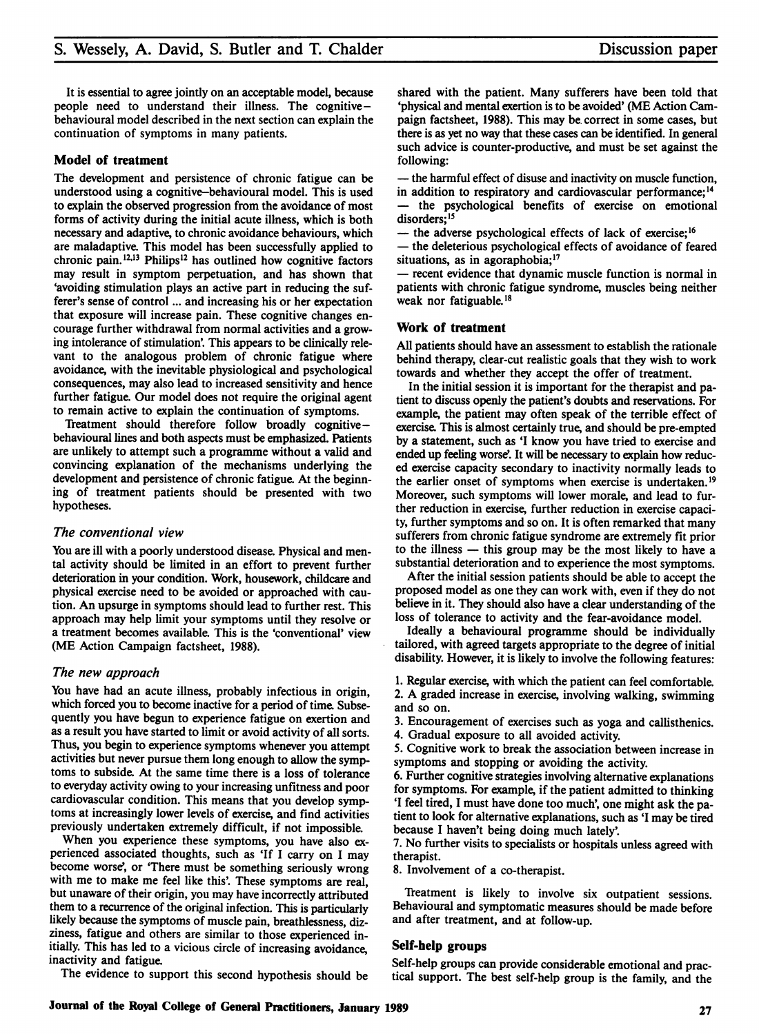It is essential to agree jointly on an acceptable model, because people need to understand their illness. The cognitive behavioural model described in the next section can explain the continuation of symptoms in many patients.

#### Model of treatment

The development and persistence of chronic fatigue can be understood using a cognitive-behavioural model. This is used to explain the observed progression from the avoidance of most forms of activity during the initial acute illness, which is both necessary and adaptive, to chronic avoidance behaviours, which are maladaptive. This model has been successfully applied to chronic pain.<sup>12,13</sup> Philips<sup>12</sup> has outlined how cognitive factors may result in symptom perpetuation, and has shown that 'avoiding stimulation plays an active part in reducing the sufferer's sense of control ... and increasing his or her expectation that exposure will increase pain. These cognitive changes encourage further withdrawal from normal activities and a growing intolerance of stimulation'. This appears to be clinically relevant to the analogous problem of chronic fatigue where avoidance, with the inevitable physiological and psychological consequences, may also lead to increased sensitivity and hence further fatigue. Our model does not require the original agent to remain active to explain the continuation of symptoms.

Treatment should therefore follow broadly cognitivebehavioural lines and both aspects must be emphasized. Patients are unlikely to attempt such a programme without a valid and convincing explanation of the mechanisms underlying the development and persistence of chronic fatigue. At the beginning of treatment patients should be presented with two hypotheses.

#### The conventional view

You are ill with a poorly understood disease. Physical and mental activity should be limited in an effort to prevent further deterioration in your condition. Work, housework, childcare and physical exercise need to be avoided or approached with caution. An upsurge in symptoms should lead to further rest. This approach may help limit your symptoms until they resolve or a treatment becomes available. This is the 'conventional' view (ME Action Campaign factsheet, 1988).

#### The new approach

You have had an acute illness, probably infectious in origin, which forced you to become inactive for a period of time. Subsequently you have begun to experience fatigue on exertion and as a result you have started to limit or avoid activity of all sorts. Thus, you begin to experience symptoms whenever you attempt activities but never pursue them long enough to allow the symptoms to subside. At the same time there is a loss of tolerance to everyday activity owing to your increasing unfitness and poor cardiovascular condition. This means that you develop symptoms at increasingly lower levels of exercise, and find activities previously undertaken extremely difficult, if not impossible.

When you experience these symptoms, you have also experienced associated thoughts, such as 'If <sup>I</sup> carry on <sup>I</sup> may become worse', or 'There must be something seriously wrong with me to make me feel like this'. These symptoms are real, but unaware of their origin, you may have incorrectly attributed them to a recurrence of the original infection. This is particularly likely because the symptoms of muscle pain, breathlessness, dizziness, fatigue and others are similar to those experienced initially. This has led to a vicious circle of increasing avoidance, inactivity and fatigue.

The evidence to support this second hypothesis should be

shared with the patient. Many sufferers have been told that 'physical and mental exertion is to be avoided' (ME Action Campaign factsheet, 1988). This may be. correct in some cases, but there is as yet no way that these cases can be identified. In general such advice is counter-productive, and must be set against the following:

- the harmful effect of disuse and inactivity on muscle function, in addition to respiratory and cardiovascular performance;<sup>14</sup>

the psychological benefits of exercise on emotional disorders;<sup>15</sup>

- the adverse psychological effects of lack of exercise;<sup>16</sup>

- the deleterious psychological effects of avoidance of feared situations, as in agoraphobia;<sup>17</sup>

- recent evidence that dynamic muscle function is normal in patients with chronic fatigue syndrome, muscles being neither weak nor fatiguable.<sup>18</sup>

#### Work of treatment

All patients should have an assessment to establish the rationale behind therapy, clear-cut realistic goals that they wish to work towards and whether they accept the offer of treatment.

In the initial session it is important for the therapist and patient to discuss openly the patient's doubts and reservations. For example, the patient may often speak of the terrible effect of exercise. This is almost certainly true, and should be pre-empted by a statement, such as 'I know you have tried to exercise and ended up feeling worse'. It will be necessary to explain how reduced exercise capacity secondary to inactivity normally leads to the earlier onset of symptoms when exercise is undertaken.'9 Moreover, such symptoms will lower morale, and lead to further reduction in exercise, further reduction in exercise capacity, further symptoms and so on. It is often remarked that many sufferers from chronic fatigue syndrome are extremely fit prior to the illness - this group may be the most likely to have a substantial deterioration and to experience the most symptoms.

After the initial session patients should be able to accept the proposed model as one they can work with, even if they do not believe in it. They should also have a clear understanding of the loss of tolerance to activity and the fear-avoidance model.

Ideally a behavioural programme should be individually tailored, with agreed targets appropriate to the degree of initial disability. However, it is likely to involve the following features:

1. Regular exercise, with which the patient can feel comfortable. 2. A graded increase in exercise, involving walking, swimming and so on.

3. Encouragement of exercises such as yoga and callisthenics.

4. Gradual exposure to all avoided activity.

5. Cognitive work to break the association between increase in symptoms and stopping or avoiding the activity.

6. Further cognitive strategies involving alternative explanations for symptoms. For example, if the patient admitted to thinking 'I feel tired, <sup>I</sup> must have done too much', one might ask the patient to look for alternative explanations, such as 'I may be tired because <sup>I</sup> haven't being doing much lately'

7. No further visits to specialists or hospitals unless agreed with therapist.

8. Involvement of a co-therapist.

Treatment is likely to involve six outpatient sessions. Behavioural and symptomatic measures should be made before and after treatment, and at follow-up.

#### Self-help groups

Self-help groups can provide considerable emotional and practical support. The best self-help group is the family, and the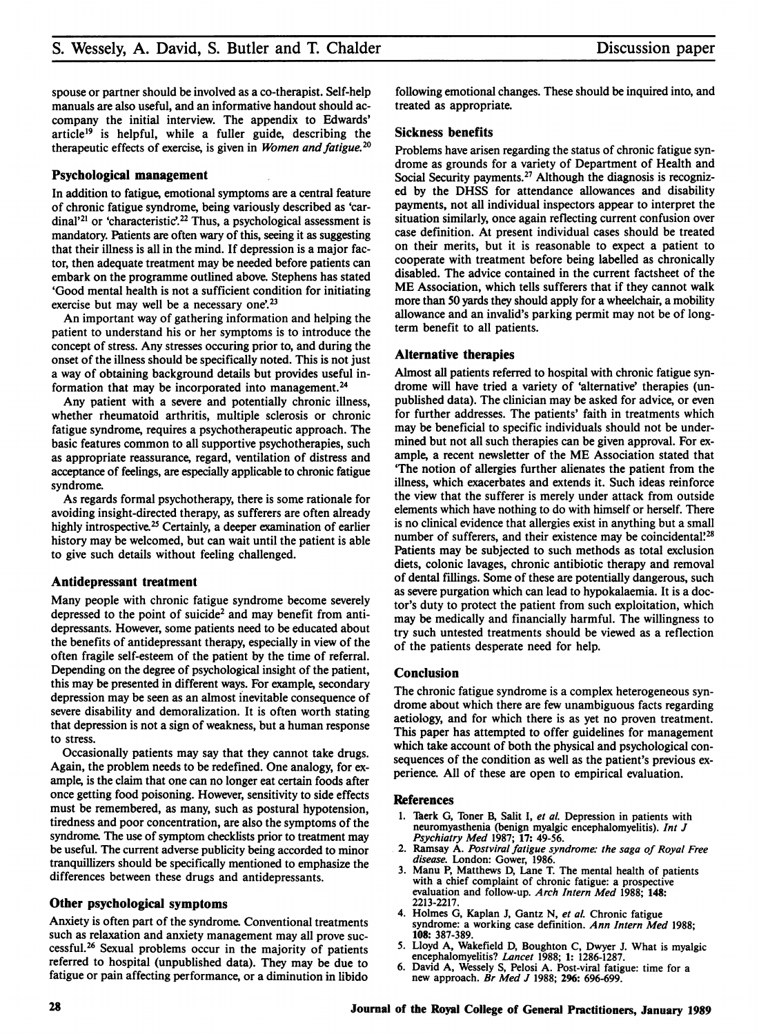spouse or partner should be involved as a co-therapist. Self-help manuals are also useful, and an informative handout should accompany the initial interview. The appendix to Edwards' article'9 is helpful, while a fuller guide, describing the therapeutic effects of exercise, is given in *Women and fatigue*.<sup>20</sup>

#### Psychological management

In addition to fatigue, emotional symptoms are a central feature of chronic fatigue syndrome, being variously described as 'cardinal'<sup>21</sup> or 'characteristic'.<sup>22</sup> Thus, a psychological assessment is mandatory. Patients are often wary of this, seeing it as suggesting that their illness is all in the mind. If depression is a major factor, then adequate treatment may be needed before patients can embark on the programme outlined above. Stephens has stated 'Good mental health is not a sufficient condition for initiating exercise but may well be a necessary one'.<sup>23</sup>

An important way of gathering information and helping the patient to understand his or her symptoms is to introduce the concept of stress. Any stresses occuring prior to, and during the onset of the illness should be specifically noted. This is not just a way of obtaining background details but provides useful information that may be incorporated into management.<sup>24</sup>

Any patient with a severe and potentially chronic illness, whether rheumatoid arthritis, multiple sclerosis or chronic fatigue syndrome, requires a psychotherapeutic approach. The basic features common to all supportive psychotherapies, such as appropriate reassurance, regard, ventilation of distress and acceptance of feelings, are especially applicable to chronic fatigue syndrome.

As regards formal psychotherapy, there is some rationale for avoiding insight-directed therapy, as sufferers are often already highly introspective.<sup>25</sup> Certainly, a deeper examination of earlier history may be welcomed, but can wait until the patient is able to give such details without feeling challenged.

#### Antidepressant treatment

Many people with chronic fatigue syndrome become severely depressed to the point of suicide<sup>2</sup> and may benefit from antidepressants. However, some patients need to be educated about the benefits of antidepressant therapy, especially in view of the often fragile self-esteem of the patient by the time of referral. Depending on the degree of psychological insight of the patient, this may be presented in different ways. For example, secondary depression may be seen as an almost inevitable consequence of severe disability and demoralization. It is often worth stating that depression is not a sign of weakness, but a human response to stress.

Occasionally patients may say that they cannot take drugs. Again, the problem needs to be redefined. One analogy, for example, is the claim that one can no longer eat certain foods after once getting food poisoning. However, sensitivity to side effects must be remembered, as many, such as postural hypotension, tiredness and poor concentration, are also the symptoms of the syndrome. The use of symptom checklists prior to treatment may be useful. The current adverse publicity being accorded to minor tranquillizers should be specifically mentioned to emphasize the differences between these drugs and antidepressants.

#### Other psychological symptoms

Anxiety is often part of the syndrome. Conventional treatments such as relaxation and anxiety management may all prove successful.26 Sexual problems occur in the majority of patients referred to hospital (unpublished data). They may be due to fatigue or pain affecting performance, or a diminution in libido following emotional changes. These should be inquired into, and treated as appropriate.

#### Sickness benefits

Problems have arisen regarding the status of chronic fatigue syndrome as grounds for a variety of Department of Health and Social Security payments.<sup>27</sup> Although the diagnosis is recognized by the DHSS for attendance allowances and disability payments, not all individual inspectors appear to interpret the situation similarly, once again reflecting current confusion over case definition. At present individual cases should be treated on their merits, but it is reasonable to expect a patient to cooperate with treatment before being labelled as chronically disabled. The advice contained in the current factsheet of the ME Association, which tells sufferers that if they cannot walk more than 50 yards they should apply for a wheelchair, a mobility allowance and an invalid's parking permit may not be of longterm benefit to all patients.

#### Alternative therapies

Almost all patients referred to hospital with chronic fatigue syndrome will have tried a variety of 'alternative' therapies (unpublished data). The clinician may be asked for advice, or even for further addresses. The patients' faith in treatments which may be beneficial to specific individuals should not be undermined but not all such therapies can be given approval. For example, <sup>a</sup> recent newsletter of the ME Association stated that 'The notion of allergies further alienates the patient from the illness, which exacerbates and extends it. Such ideas reinforce the view that the sufferer is merely under attack from outside elements which have nothing to do with himself or herself. There is no clinical evidence that allergies exist in anything but a small number of sufferers, and their existence may be coincidental?<sup>28</sup> Patients may be subjected to such methods as total exclusion diets, colonic lavages, chronic antibiotic therapy and removal of dental fillings. Some of these are potentially dangerous, such as severe purgation which can lead to hypokalaemia. It is a doctor's duty to protect the patient from such exploitation, which may be medically and financially harmful. The willingness to try such untested treatments should be viewed as a reflection of the patients desperate need for help.

#### Conclusion

The chronic fatigue syndrome is a complex heterogeneous syndrome about which there are few unambiguous facts regarding aetiology, and for which there is as yet no proven treatment. This paper has attempted to offer guidelines for management which take account of both the physical and psychological consequences of the condition as well as the patient's previous experience. All of these are open to empirical evaluation.

#### References

- 1. Taerk G, Toner B, Salit I, et al. Depression in patients with neuromyasthenia (benign myalgic encephalomyelitis). Int J Psychiatry Med 1987; 17: 49-56.
- 2. Ramsay A. Postviral fatigue syndrome: the saga of Royal Free disease. London: Gower, 1986.
- 3. Manu P, Matthews D, Lane T. The mental health of patients with a chief complaint of chronic fatigue: a prospective evaluation and follow-up. Arch Intern Med 1988; 148: 2213-2217.
- 4. Holmes G, Kaplan J, Gantz N, et al. Chronic fatigue syndrome: a working case definition. Ann Intern Med 1988; 108: 387-389.
- 5. Lloyd A, Wakefield D, Boughton C, Dwyer J. What is myalgic encephalomyelitis? Lancet 1988; 1: 1286-1287.
- 6. David A, Wessely S, Pelosi A. Post-viral fatigue: time for a new approach. Br Med J 1988; 296: 696-699.